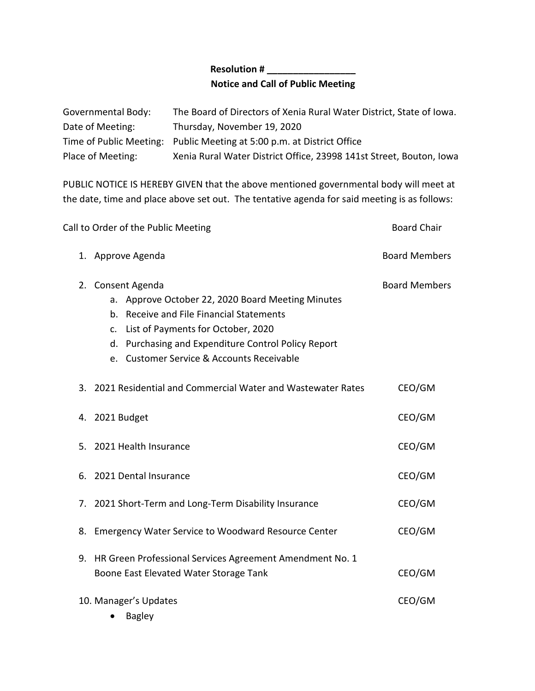## **Resolution # \_\_\_\_\_\_\_\_\_\_\_\_\_\_\_\_\_ Notice and Call of Public Meeting**

| Governmental Body: | The Board of Directors of Xenia Rural Water District, State of Iowa.   |
|--------------------|------------------------------------------------------------------------|
| Date of Meeting:   | Thursday, November 19, 2020                                            |
|                    | Time of Public Meeting: Public Meeting at 5:00 p.m. at District Office |
| Place of Meeting:  | Xenia Rural Water District Office, 23998 141st Street, Bouton, Iowa    |

PUBLIC NOTICE IS HEREBY GIVEN that the above mentioned governmental body will meet at the date, time and place above set out. The tentative agenda for said meeting is as follows:

| Call to Order of the Public Meeting |                                                                                                                                                                                                                                                                             | <b>Board Chair</b>   |
|-------------------------------------|-----------------------------------------------------------------------------------------------------------------------------------------------------------------------------------------------------------------------------------------------------------------------------|----------------------|
|                                     | 1. Approve Agenda                                                                                                                                                                                                                                                           | <b>Board Members</b> |
| 2.                                  | Consent Agenda<br>a. Approve October 22, 2020 Board Meeting Minutes<br>b. Receive and File Financial Statements<br>List of Payments for October, 2020<br>$\mathsf{C}$ .<br>d. Purchasing and Expenditure Control Policy Report<br>e. Customer Service & Accounts Receivable | <b>Board Members</b> |
|                                     | 3. 2021 Residential and Commercial Water and Wastewater Rates                                                                                                                                                                                                               | CEO/GM               |
|                                     | 4. 2021 Budget                                                                                                                                                                                                                                                              | CEO/GM               |
|                                     | 5. 2021 Health Insurance                                                                                                                                                                                                                                                    | CEO/GM               |
|                                     | 6. 2021 Dental Insurance                                                                                                                                                                                                                                                    | CEO/GM               |
|                                     | 7. 2021 Short-Term and Long-Term Disability Insurance                                                                                                                                                                                                                       | CEO/GM               |
|                                     | 8. Emergency Water Service to Woodward Resource Center                                                                                                                                                                                                                      | CEO/GM               |
|                                     | 9. HR Green Professional Services Agreement Amendment No. 1<br>Boone East Elevated Water Storage Tank                                                                                                                                                                       | CEO/GM               |
|                                     | 10. Manager's Updates<br><b>Bagley</b>                                                                                                                                                                                                                                      | CEO/GM               |